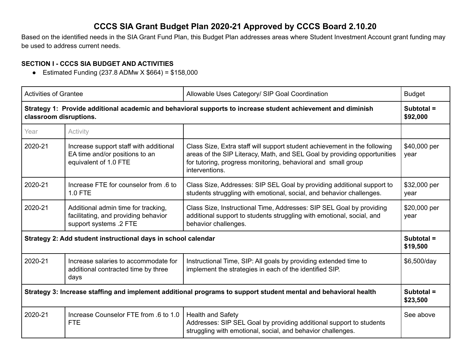## **CCCS SIA Grant Budget Plan 2020-21 Approved by CCCS Board 2.10.20**

Based on the identified needs in the SIA Grant Fund Plan, this Budget Plan addresses areas where Student Investment Account grant funding may be used to address current needs.

## **SECTION I - CCCS SIA BUDGET AND ACTIVITIES**

• Estimate <math>Equation(237.8 \text{ ADMw} \times \$664) = \$158,000</math>

| <b>Activities of Grantee</b>                                                                                                           |                                                                                                                                                                                                                       | Allowable Uses Category/ SIP Goal Coordination                                                                                                                                                                                           | <b>Budget</b>          |
|----------------------------------------------------------------------------------------------------------------------------------------|-----------------------------------------------------------------------------------------------------------------------------------------------------------------------------------------------------------------------|------------------------------------------------------------------------------------------------------------------------------------------------------------------------------------------------------------------------------------------|------------------------|
| Strategy 1: Provide additional academic and behavioral supports to increase student achievement and diminish<br>classroom disruptions. |                                                                                                                                                                                                                       |                                                                                                                                                                                                                                          | Subtotal =<br>\$92,000 |
| Year                                                                                                                                   | Activity                                                                                                                                                                                                              |                                                                                                                                                                                                                                          |                        |
| 2020-21                                                                                                                                | Increase support staff with additional<br>EA time and/or positions to an<br>equivalent of 1.0 FTE                                                                                                                     | Class Size, Extra staff will support student achievement in the following<br>areas of the SIP Literacy, Math, and SEL Goal by providing opportunities<br>for tutoring, progress monitoring, behavioral and small group<br>interventions. | \$40,000 per<br>year   |
| 2020-21                                                                                                                                | Increase FTE for counselor from .6 to<br><b>1.0 FTE</b>                                                                                                                                                               | Class Size, Addresses: SIP SEL Goal by providing additional support to<br>students struggling with emotional, social, and behavior challenges.                                                                                           | \$32,000 per<br>year   |
| 2020-21                                                                                                                                | Additional admin time for tracking,<br>facilitating, and providing behavior<br>support systems .2 FTE                                                                                                                 | Class Size, Instructional Time, Addresses: SIP SEL Goal by providing<br>additional support to students struggling with emotional, social, and<br>behavior challenges.                                                                    | \$20,000 per<br>year   |
| Strategy 2: Add student instructional days in school calendar                                                                          |                                                                                                                                                                                                                       |                                                                                                                                                                                                                                          | Subtotal =<br>\$19,500 |
| 2020-21                                                                                                                                | Instructional Time, SIP: All goals by providing extended time to<br>Increase salaries to accommodate for<br>implement the strategies in each of the identified SIP.<br>additional contracted time by three<br>days    |                                                                                                                                                                                                                                          | \$6,500/day            |
| Strategy 3: Increase staffing and implement additional programs to support student mental and behavioral health                        |                                                                                                                                                                                                                       |                                                                                                                                                                                                                                          | Subtotal =<br>\$23,500 |
| 2020-21                                                                                                                                | Increase Counselor FTE from .6 to 1.0<br><b>Health and Safety</b><br>Addresses: SIP SEL Goal by providing additional support to students<br><b>FTE</b><br>struggling with emotional, social, and behavior challenges. |                                                                                                                                                                                                                                          | See above              |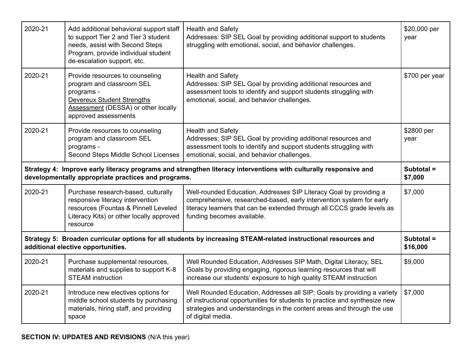| 2020-21                                                                                                                                                                 | Add additional behavioral support staff<br>to support Tier 2 and Tier 3 student<br>needs, assist with Second Steps<br>Program, provide individual student<br>de-escalation support, etc.                                                                                                                              | <b>Health and Safety</b><br>Addresses: SIP SEL Goal by providing additional support to students<br>struggling with emotional, social, and behavior challenges.                                                                                                  | \$20,000 per<br>year    |
|-------------------------------------------------------------------------------------------------------------------------------------------------------------------------|-----------------------------------------------------------------------------------------------------------------------------------------------------------------------------------------------------------------------------------------------------------------------------------------------------------------------|-----------------------------------------------------------------------------------------------------------------------------------------------------------------------------------------------------------------------------------------------------------------|-------------------------|
| 2020-21                                                                                                                                                                 | Provide resources to counseling<br>program and classroom SEL<br>programs -<br><b>Devereux Student Strengths</b><br>Assessment (DESSA) or other locally<br>approved assessments                                                                                                                                        | <b>Health and Safety</b><br>Addresses: SIP SEL Goal by providing additional resources and<br>assessment tools to identify and support students struggling with<br>emotional, social, and behavior challenges.                                                   | \$700 per year          |
| 2020-21                                                                                                                                                                 | Provide resources to counseling<br>program and classroom SEL<br>programs -<br>Second Steps Middle School Licenses                                                                                                                                                                                                     | <b>Health and Safety</b><br>Addresses: SIP SEL Goal by providing additional resources and<br>assessment tools to identify and support students struggling with<br>emotional, social, and behavior challenges.                                                   | \$2800 per<br>year      |
| Strategy 4: Improve early literacy programs and strengthen literacy interventions with culturally responsive and<br>developmentally appropriate practices and programs. |                                                                                                                                                                                                                                                                                                                       |                                                                                                                                                                                                                                                                 | Subtotal $=$<br>\$7,000 |
| 2020-21                                                                                                                                                                 | Purchase research-based, culturally<br>responsive literacy intervention<br>resources (Fountas & Pinnell Leveled<br>Literacy Kits) or other locally approved<br>resource                                                                                                                                               | \$7,000<br>Well-rounded Education, Addresses SIP Literacy Goal by providing a<br>comprehensive, researched-based, early intervention system for early<br>literacy learners that can be extended through all CCCS grade levels as<br>funding becomes available.  |                         |
| Strategy 5: Broaden curricular options for all students by increasing STEAM-related instructional resources and<br>additional elective opportunities.                   |                                                                                                                                                                                                                                                                                                                       | Subtotal =<br>\$16,000                                                                                                                                                                                                                                          |                         |
| 2020-21                                                                                                                                                                 | Well Rounded Education, Addresses SIP Math, Digital Literacy, SEL<br>Purchase supplemental resources,<br>materials and supplies to support K-8<br>Goals by providing engaging, rigorous learning resources that will<br>increase our students' exposure to high quality STEAM instruction<br><b>STEAM</b> instruction |                                                                                                                                                                                                                                                                 | \$9,000                 |
| 2020-21                                                                                                                                                                 | Introduce new electives options for<br>middle school students by purchasing<br>materials, hiring staff, and providing<br>space                                                                                                                                                                                        | Well Rounded Education, Addresses all SIP: Goals by providing a variety<br>\$7,000<br>of instructional opportunities for students to practice and synthesize new<br>strategies and understandings in the content areas and through the use<br>of digital media. |                         |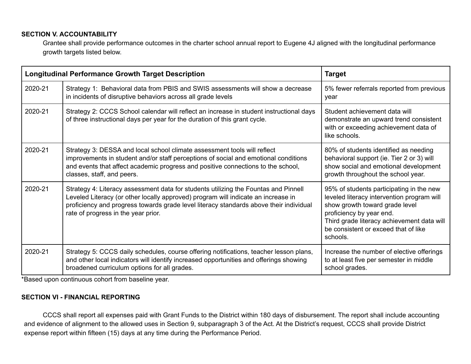#### **SECTION V. ACCOUNTABILITY**

Grantee shall provide performance outcomes in the charter school annual report to Eugene 4J aligned with the longitudinal performance growth targets listed below.

| <b>Longitudinal Performance Growth Target Description</b> |                                                                                                                                                                                                                                                                                                           | <b>Target</b>                                                                                                                                                                                                                                          |
|-----------------------------------------------------------|-----------------------------------------------------------------------------------------------------------------------------------------------------------------------------------------------------------------------------------------------------------------------------------------------------------|--------------------------------------------------------------------------------------------------------------------------------------------------------------------------------------------------------------------------------------------------------|
| 2020-21                                                   | Strategy 1: Behavioral data from PBIS and SWIS assessments will show a decrease<br>in incidents of disruptive behaviors across all grade levels                                                                                                                                                           | 5% fewer referrals reported from previous<br>vear                                                                                                                                                                                                      |
| 2020-21                                                   | Strategy 2: CCCS School calendar will reflect an increase in student instructional days<br>of three instructional days per year for the duration of this grant cycle.                                                                                                                                     | Student achievement data will<br>demonstrate an upward trend consistent<br>with or exceeding achievement data of<br>like schools.                                                                                                                      |
| 2020-21                                                   | Strategy 3: DESSA and local school climate assessment tools will reflect<br>improvements in student and/or staff perceptions of social and emotional conditions<br>and events that affect academic progress and positive connections to the school,<br>classes, staff, and peers.                         | 80% of students identified as needing<br>behavioral support (ie. Tier 2 or 3) will<br>show social and emotional development<br>growth throughout the school year.                                                                                      |
| 2020-21                                                   | Strategy 4: Literacy assessment data for students utilizing the Fountas and Pinnell<br>Leveled Literacy (or other locally approved) program will indicate an increase in<br>proficiency and progress towards grade level literacy standards above their individual<br>rate of progress in the year prior. | 95% of students participating in the new<br>leveled literacy intervention program will<br>show growth toward grade level<br>proficiency by year end.<br>Third grade literacy achievement data will<br>be consistent or exceed that of like<br>schools. |
| 2020-21                                                   | Strategy 5: CCCS daily schedules, course offering notifications, teacher lesson plans,<br>and other local indicators will identify increased opportunities and offerings showing<br>broadened curriculum options for all grades.                                                                          | Increase the number of elective offerings<br>to at least five per semester in middle<br>school grades.                                                                                                                                                 |

\*Based upon continuous cohort from baseline year.

## **SECTION VI - FINANCIAL REPORTING**

CCCS shall report all expenses paid with Grant Funds to the District within 180 days of disbursement. The report shall include accounting and evidence of alignment to the allowed uses in Section 9, subparagraph 3 of the Act. At the District's request, CCCS shall provide District expense report within fifteen (15) days at any time during the Performance Period.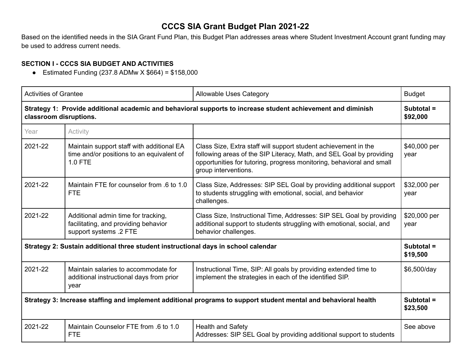# **CCCS SIA Grant Budget Plan 2021-22**

Based on the identified needs in the SIA Grant Fund Plan, this Budget Plan addresses areas where Student Investment Account grant funding may be used to address current needs.

### **SECTION I - CCCS SIA BUDGET AND ACTIVITIES**

■ Estimated Funding  $(237.8$  ADMw  $X$  \$664) = \$158,000

| <b>Activities of Grantee</b>                                                                                                                                                                                                       |                                                                                                                                                                                                                                                                                | Allowable Uses Category                                                                                                                                                                                                                  | <b>Budget</b>            |
|------------------------------------------------------------------------------------------------------------------------------------------------------------------------------------------------------------------------------------|--------------------------------------------------------------------------------------------------------------------------------------------------------------------------------------------------------------------------------------------------------------------------------|------------------------------------------------------------------------------------------------------------------------------------------------------------------------------------------------------------------------------------------|--------------------------|
| Strategy 1: Provide additional academic and behavioral supports to increase student achievement and diminish<br>classroom disruptions.                                                                                             |                                                                                                                                                                                                                                                                                |                                                                                                                                                                                                                                          | Subtotal $=$<br>\$92,000 |
| Year                                                                                                                                                                                                                               | Activity                                                                                                                                                                                                                                                                       |                                                                                                                                                                                                                                          |                          |
| 2021-22                                                                                                                                                                                                                            | Maintain support staff with additional EA<br>time and/or positions to an equivalent of<br><b>1.0 FTE</b>                                                                                                                                                                       | Class Size, Extra staff will support student achievement in the<br>following areas of the SIP Literacy, Math, and SEL Goal by providing<br>opportunities for tutoring, progress monitoring, behavioral and small<br>group interventions. | \$40,000 per<br>year     |
| 2021-22                                                                                                                                                                                                                            | Maintain FTE for counselor from .6 to 1.0<br>Class Size, Addresses: SIP SEL Goal by providing additional support<br>to students struggling with emotional, social, and behavior<br><b>FTE</b><br>challenges.                                                                   |                                                                                                                                                                                                                                          | \$32,000 per<br>year     |
| 2021-22                                                                                                                                                                                                                            | Class Size, Instructional Time, Addresses: SIP SEL Goal by providing<br>Additional admin time for tracking,<br>facilitating, and providing behavior<br>additional support to students struggling with emotional, social, and<br>support systems .2 FTE<br>behavior challenges. |                                                                                                                                                                                                                                          | \$20,000 per<br>year     |
| Strategy 2: Sustain additional three student instructional days in school calendar                                                                                                                                                 |                                                                                                                                                                                                                                                                                |                                                                                                                                                                                                                                          | Subtotal =<br>\$19,500   |
| 2021-22<br>Instructional Time, SIP: All goals by providing extended time to<br>Maintain salaries to accommodate for<br>implement the strategies in each of the identified SIP.<br>additional instructional days from prior<br>year |                                                                                                                                                                                                                                                                                | \$6,500/day                                                                                                                                                                                                                              |                          |
| Strategy 3: Increase staffing and implement additional programs to support student mental and behavioral health                                                                                                                    |                                                                                                                                                                                                                                                                                |                                                                                                                                                                                                                                          | Subtotal =<br>\$23,500   |
| 2021-22                                                                                                                                                                                                                            | Maintain Counselor FTE from .6 to 1.0<br><b>FTE</b>                                                                                                                                                                                                                            | <b>Health and Safety</b><br>Addresses: SIP SEL Goal by providing additional support to students                                                                                                                                          | See above                |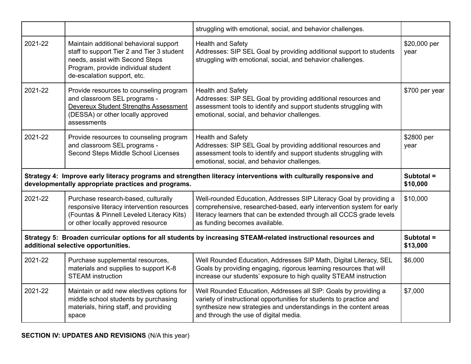|                                                                                                                                                                         |                                                                                                                                                                                               | struggling with emotional, social, and behavior challenges.                                                                                                                                                                                                     |                        |
|-------------------------------------------------------------------------------------------------------------------------------------------------------------------------|-----------------------------------------------------------------------------------------------------------------------------------------------------------------------------------------------|-----------------------------------------------------------------------------------------------------------------------------------------------------------------------------------------------------------------------------------------------------------------|------------------------|
| 2021-22                                                                                                                                                                 | Maintain additional behavioral support<br>staff to support Tier 2 and Tier 3 student<br>needs, assist with Second Steps<br>Program, provide individual student<br>de-escalation support, etc. | <b>Health and Safety</b><br>Addresses: SIP SEL Goal by providing additional support to students<br>struggling with emotional, social, and behavior challenges.                                                                                                  | \$20,000 per<br>year   |
| 2021-22                                                                                                                                                                 | Provide resources to counseling program<br>and classroom SEL programs -<br>Devereux Student Strengths Assessment<br>(DESSA) or other locally approved<br>assessments                          | <b>Health and Safety</b><br>Addresses: SIP SEL Goal by providing additional resources and<br>assessment tools to identify and support students struggling with<br>emotional, social, and behavior challenges.                                                   | \$700 per year         |
| 2021-22                                                                                                                                                                 | Provide resources to counseling program<br>and classroom SEL programs -<br>Second Steps Middle School Licenses                                                                                | <b>Health and Safety</b><br>Addresses: SIP SEL Goal by providing additional resources and<br>assessment tools to identify and support students struggling with<br>emotional, social, and behavior challenges.                                                   | \$2800 per<br>year     |
| Strategy 4: Improve early literacy programs and strengthen literacy interventions with culturally responsive and<br>developmentally appropriate practices and programs. |                                                                                                                                                                                               |                                                                                                                                                                                                                                                                 | Subtotal =<br>\$10,000 |
| 2021-22                                                                                                                                                                 | Purchase research-based, culturally<br>responsive literacy intervention resources<br>(Fountas & Pinnell Leveled Literacy Kits)<br>or other locally approved resource                          | \$10,000<br>Well-rounded Education, Addresses SIP Literacy Goal by providing a<br>comprehensive, researched-based, early intervention system for early<br>literacy learners that can be extended through all CCCS grade levels<br>as funding becomes available. |                        |
| Strategy 5: Broaden curricular options for all students by increasing STEAM-related instructional resources and<br>additional selective opportunities.                  |                                                                                                                                                                                               |                                                                                                                                                                                                                                                                 | Subtotal =<br>\$13,000 |
| 2021-22                                                                                                                                                                 | Purchase supplemental resources,<br>materials and supplies to support K-8<br><b>STEAM</b> instruction                                                                                         | \$6,000<br>Well Rounded Education, Addresses SIP Math, Digital Literacy, SEL<br>Goals by providing engaging, rigorous learning resources that will<br>increase our students' exposure to high quality STEAM instruction                                         |                        |
| 2021-22                                                                                                                                                                 | Maintain or add new electives options for<br>middle school students by purchasing<br>materials, hiring staff, and providing                                                                   | Well Rounded Education, Addresses all SIP: Goals by providing a<br>\$7,000<br>variety of instructional opportunities for students to practice and<br>synthesize new strategies and understandings in the content areas<br>and through the use of digital media. |                        |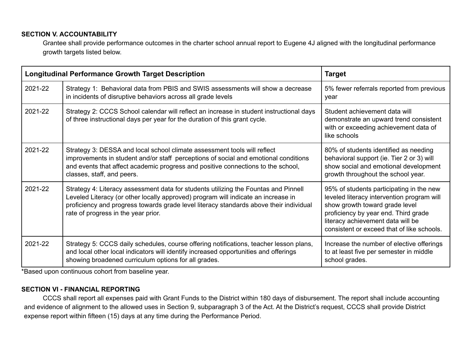#### **SECTION V. ACCOUNTABILITY**

Grantee shall provide performance outcomes in the charter school annual report to Eugene 4J aligned with the longitudinal performance growth targets listed below.

| <b>Longitudinal Performance Growth Target Description</b> |                                                                                                                                                                                                                                                                                                           | <b>Target</b>                                                                                                                                                                                                                                       |
|-----------------------------------------------------------|-----------------------------------------------------------------------------------------------------------------------------------------------------------------------------------------------------------------------------------------------------------------------------------------------------------|-----------------------------------------------------------------------------------------------------------------------------------------------------------------------------------------------------------------------------------------------------|
| 2021-22                                                   | Strategy 1: Behavioral data from PBIS and SWIS assessments will show a decrease<br>in incidents of disruptive behaviors across all grade levels                                                                                                                                                           | 5% fewer referrals reported from previous<br>year                                                                                                                                                                                                   |
| 2021-22                                                   | Strategy 2: CCCS School calendar will reflect an increase in student instructional days<br>of three instructional days per year for the duration of this grant cycle.                                                                                                                                     | Student achievement data will<br>demonstrate an upward trend consistent<br>with or exceeding achievement data of<br>like schools                                                                                                                    |
| 2021-22                                                   | Strategy 3: DESSA and local school climate assessment tools will reflect<br>improvements in student and/or staff perceptions of social and emotional conditions<br>and events that affect academic progress and positive connections to the school,<br>classes, staff, and peers.                         | 80% of students identified as needing<br>behavioral support (ie. Tier 2 or 3) will<br>show social and emotional development<br>growth throughout the school year.                                                                                   |
| 2021-22                                                   | Strategy 4: Literacy assessment data for students utilizing the Fountas and Pinnell<br>Leveled Literacy (or other locally approved) program will indicate an increase in<br>proficiency and progress towards grade level literacy standards above their individual<br>rate of progress in the year prior. | 95% of students participating in the new<br>leveled literacy intervention program will<br>show growth toward grade level<br>proficiency by year end. Third grade<br>literacy achievement data will be<br>consistent or exceed that of like schools. |
| 2021-22                                                   | Strategy 5: CCCS daily schedules, course offering notifications, teacher lesson plans,<br>and local other local indicators will identify increased opportunities and offerings<br>showing broadened curriculum options for all grades.                                                                    | Increase the number of elective offerings<br>to at least five per semester in middle<br>school grades.                                                                                                                                              |

\*Based upon continuous cohort from baseline year.

#### **SECTION VI - FINANCIAL REPORTING**

CCCS shall report all expenses paid with Grant Funds to the District within 180 days of disbursement. The report shall include accounting and evidence of alignment to the allowed uses in Section 9, subparagraph 3 of the Act. At the District's request, CCCS shall provide District expense report within fifteen (15) days at any time during the Performance Period.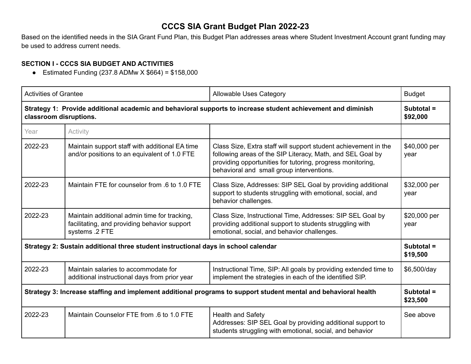# **CCCS SIA Grant Budget Plan 2022-23**

Based on the identified needs in the SIA Grant Fund Plan, this Budget Plan addresses areas where Student Investment Account grant funding may be used to address current needs.

## **SECTION I - CCCS SIA BUDGET AND ACTIVITIES**

■ Estimated Funding  $(237.8$  ADMw  $X$  \$664) = \$158,000

| <b>Activities of Grantee</b>                                                                                                           |                                                                                                                                                                                                                                                                                         | <b>Allowable Uses Category</b>                                                                                                                                                                                                           | <b>Budget</b>          |
|----------------------------------------------------------------------------------------------------------------------------------------|-----------------------------------------------------------------------------------------------------------------------------------------------------------------------------------------------------------------------------------------------------------------------------------------|------------------------------------------------------------------------------------------------------------------------------------------------------------------------------------------------------------------------------------------|------------------------|
| Strategy 1: Provide additional academic and behavioral supports to increase student achievement and diminish<br>classroom disruptions. |                                                                                                                                                                                                                                                                                         |                                                                                                                                                                                                                                          | Subtotal =<br>\$92,000 |
| Year                                                                                                                                   | Activity                                                                                                                                                                                                                                                                                |                                                                                                                                                                                                                                          |                        |
| 2022-23                                                                                                                                | Maintain support staff with additional EA time<br>and/or positions to an equivalent of 1.0 FTE                                                                                                                                                                                          | Class Size, Extra staff will support student achievement in the<br>following areas of the SIP Literacy, Math, and SEL Goal by<br>providing opportunities for tutoring, progress monitoring,<br>behavioral and small group interventions. | \$40,000 per<br>year   |
| 2022-23                                                                                                                                | Maintain FTE for counselor from .6 to 1.0 FTE                                                                                                                                                                                                                                           | Class Size, Addresses: SIP SEL Goal by providing additional<br>support to students struggling with emotional, social, and<br>behavior challenges.                                                                                        | \$32,000 per<br>year   |
| 2022-23                                                                                                                                | Maintain additional admin time for tracking,<br>Class Size, Instructional Time, Addresses: SIP SEL Goal by<br>providing additional support to students struggling with<br>facilitating, and providing behavior support<br>systems .2 FTE<br>emotional, social, and behavior challenges. |                                                                                                                                                                                                                                          | \$20,000 per<br>year   |
| Strategy 2: Sustain additional three student instructional days in school calendar                                                     |                                                                                                                                                                                                                                                                                         |                                                                                                                                                                                                                                          | Subtotal =<br>\$19,500 |
| 2022-23<br>Maintain salaries to accommodate for<br>additional instructional days from prior year                                       |                                                                                                                                                                                                                                                                                         | Instructional Time, SIP: All goals by providing extended time to<br>implement the strategies in each of the identified SIP.                                                                                                              | \$6,500/day            |
| Strategy 3: Increase staffing and implement additional programs to support student mental and behavioral health                        |                                                                                                                                                                                                                                                                                         |                                                                                                                                                                                                                                          | Subtotal =<br>\$23,500 |
| 2022-23                                                                                                                                | Maintain Counselor FTE from .6 to 1.0 FTE<br><b>Health and Safety</b><br>Addresses: SIP SEL Goal by providing additional support to<br>students struggling with emotional, social, and behavior                                                                                         |                                                                                                                                                                                                                                          | See above              |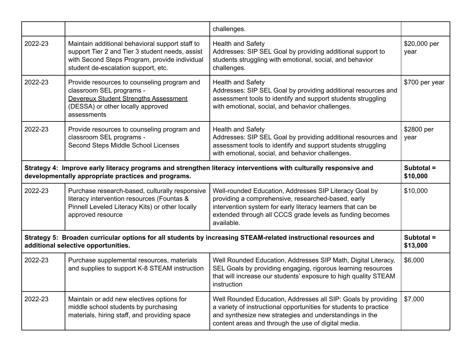|                                                                                                                                                                         |                                                                                                                                                                                            | challenges.                                                                                                                                                                                                                                                        |                        |
|-------------------------------------------------------------------------------------------------------------------------------------------------------------------------|--------------------------------------------------------------------------------------------------------------------------------------------------------------------------------------------|--------------------------------------------------------------------------------------------------------------------------------------------------------------------------------------------------------------------------------------------------------------------|------------------------|
| 2022-23                                                                                                                                                                 | Maintain additional behavioral support staff to<br>support Tier 2 and Tier 3 student needs, assist<br>with Second Steps Program, provide individual<br>student de-escalation support, etc. | <b>Health and Safety</b><br>Addresses: SIP SEL Goal by providing additional support to<br>students struggling with emotional, social, and behavior<br>challenges.                                                                                                  | \$20,000 per<br>year   |
| 2022-23                                                                                                                                                                 | Provide resources to counseling program and<br>classroom SEL programs -<br>Devereux Student Strengths Assessment<br>(DESSA) or other locally approved<br>assessments                       | <b>Health and Safety</b><br>Addresses: SIP SEL Goal by providing additional resources and<br>assessment tools to identify and support students struggling<br>with emotional, social, and behavior challenges.                                                      | \$700 per year         |
| 2022-23                                                                                                                                                                 | Provide resources to counseling program and<br>classroom SEL programs -<br>Second Steps Middle School Licenses                                                                             | <b>Health and Safety</b><br>Addresses: SIP SEL Goal by providing additional resources and<br>assessment tools to identify and support students struggling<br>with emotional, social, and behavior challenges.                                                      | \$2800 per<br>year     |
| Strategy 4: Improve early literacy programs and strengthen literacy interventions with culturally responsive and<br>developmentally appropriate practices and programs. |                                                                                                                                                                                            |                                                                                                                                                                                                                                                                    | Subtotal =<br>\$10,000 |
| 2022-23                                                                                                                                                                 | Purchase research-based, culturally responsive<br>literacy intervention resources (Fountas &<br>Pinnell Leveled Literacy Kits) or other locally<br>approved resource                       | \$10,000<br>Well-rounded Education, Addresses SIP Literacy Goal by<br>providing a comprehensive, researched-based, early<br>intervention system for early literacy learners that can be<br>extended through all CCCS grade levels as funding becomes<br>available. |                        |
| Strategy 5: Broaden curricular options for all students by increasing STEAM-related instructional resources and<br>additional selective opportunities.                  |                                                                                                                                                                                            |                                                                                                                                                                                                                                                                    | Subtotal =<br>\$13,000 |
| 2022-23                                                                                                                                                                 | Purchase supplemental resources, materials<br>and supplies to support K-8 STEAM instruction                                                                                                | Well Rounded Education, Addresses SIP Math, Digital Literacy,<br>\$6,000<br>SEL Goals by providing engaging, rigorous learning resources<br>that will increase our students' exposure to high quality STEAM<br>instruction                                         |                        |
| 2022-23                                                                                                                                                                 | Maintain or add new electives options for<br>middle school students by purchasing<br>materials, hiring staff, and providing space                                                          | Well Rounded Education, Addresses all SIP: Goals by providing<br>a variety of instructional opportunities for students to practice<br>and synthesize new strategies and understandings in the<br>content areas and through the use of digital media.               | \$7,000                |